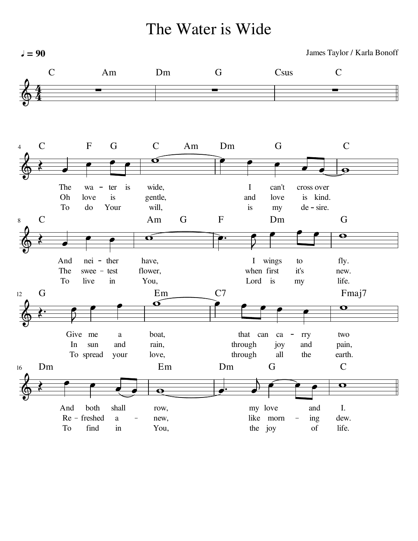The Water is Wide

 $l = 90$ James Taylor / Karla Bonoff C Am Dm G Csus C 4  $\overline{a}$   $\bigotimes$ 4<br>4 Dm G C C F G C Am 4  $\frac{1}{\sqrt{1-\frac{1}{\sqrt{1-\frac{1}{\sqrt{1-\frac{1}{\sqrt{1-\frac{1}{\sqrt{1-\frac{1}{\sqrt{1-\frac{1}{\sqrt{1-\frac{1}{\sqrt{1-\frac{1}{\sqrt{1-\frac{1}{\sqrt{1-\frac{1}{\sqrt{1-\frac{1}{\sqrt{1-\frac{1}{\sqrt{1-\frac{1}{\sqrt{1-\frac{1}{\sqrt{1-\frac{1}{\sqrt{1-\frac{1}{\sqrt{1-\frac{1}{\sqrt{1-\frac{1}{\sqrt{1-\frac{1}{\sqrt{1-\frac{1}{\sqrt{1-\frac{1}{\sqrt{1-\frac{1}{\sqrt{1-\frac{1}{\sqrt{1-\frac{1$  $\qquad \qquad \bullet$   $\qquad \bullet$  $\overline{\blacklozenge}$  $\begin{array}{|c|c|c|}\n\hline\n\bullet & \bullet\n\end{array}$  $\bigotimes$  $\overline{\phantom{a}}$ The ter is wide, I can't wa  $\overline{\phantom{0}}$ cross over Oh love is gentle, and love is kind. To Your do will, is my de sire. C Am G F Dm G 8  $\overline{\mathbf{P}}$  $\overset{\circ}{\longrightarrow}$  $\overline{ }$  $\overline{\phantom{a}}$  $\frac{1}{\epsilon}$  $\overline{\phantom{0}}$  $\overline{\blacklozenge}$  $\overline{\bullet}$  $\bigotimes$  $\overline{\phantom{a}}$  $\widetilde{\mathbf{o}}$ ₹ And have, fly. nei ther I wings to The flower, it's swee - test when first new. To You, live in Lord is my life. 12 G Em C7<br><del>●</del> Fmaj7  $\bullet$  $\overline{\phantom{a}}$  $\overline{\cdot}$  $\overline{\mathbf{C}}$  $\widetilde{\mathbf{o}}$  $\overline{\phantom{0}}$  $\overline{\blacklozenge}$  $\mathbf \Omega$  $\bigotimes$ ₹ Give me a boat, that can  $ca - rry$ two In sun and rain, through joy and pain, through To spread your love, all the earth. Dm C 16 Em Dm G  $\overline{a}$  $\overline{\phantom{a}}$  $\overrightarrow{ }$  $\overline{\mathbf{X}}$  $\begin{array}{|c|c|c|}\n\hline\n\bullet & \bullet\n\end{array}$  $\overline{\phantom{0}}$  $\bigotimes$  $\overline{\phantom{a}}$  $\overline{\mathbf{o}}$ And both shall row, I. my love and dew. Re freshed a new, like morn  $\overline{\phantom{0}}$ ing To find life. in You, the joy of